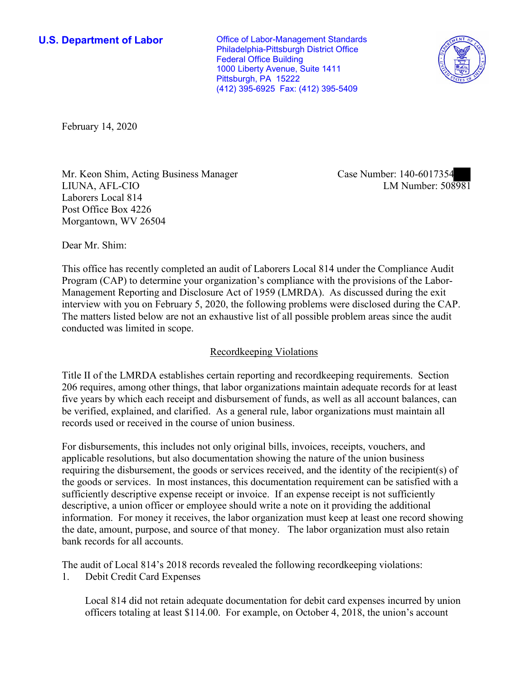**U.S. Department of Labor Conservative Conservative Conservative U.S. Department of Labor** Philadelphia-Pittsburgh District Office Federal Office Building 1000 Liberty Avenue, Suite 1411 Pittsburgh, PA 15222 (412) 395-6925 Fax: (412) 395-5409



February 14, 2020

■ LIUNA, AFL-CIO LM Number: 508981 Mr. Keon Shim, Acting Business Manager Case Number: 140-6017354 Laborers Local 814 Post Office Box 4226 Morgantown, WV 26504

Dear Mr. Shim:

 This office has recently completed an audit of Laborers Local 814 under the Compliance Audit The matters listed below are not an exhaustive list of all possible problem areas since the audit Program (CAP) to determine your organization's compliance with the provisions of the Labor-Management Reporting and Disclosure Act of 1959 (LMRDA). As discussed during the exit interview with you on February 5, 2020, the following problems were disclosed during the CAP. conducted was limited in scope.

# Recordkeeping Violations

 Title II of the LMRDA establishes certain reporting and recordkeeping requirements. Section 206 requires, among other things, that labor organizations maintain adequate records for at least five years by which each receipt and disbursement of funds, as well as all account balances, can be verified, explained, and clarified. As a general rule, labor organizations must maintain all records used or received in the course of union business.

For disbursements, this includes not only original bills, invoices, receipts, vouchers, and applicable resolutions, but also documentation showing the nature of the union business requiring the disbursement, the goods or services received, and the identity of the recipient(s) of the goods or services. In most instances, this documentation requirement can be satisfied with a sufficiently descriptive expense receipt or invoice. If an expense receipt is not sufficiently descriptive, a union officer or employee should write a note on it providing the additional information. For money it receives, the labor organization must keep at least one record showing the date, amount, purpose, and source of that money. The labor organization must also retain bank records for all accounts.

 The audit of Local 814's 2018 records revealed the following recordkeeping violations: 1. Debit Credit Card Expenses

Local 814 did not retain adequate documentation for debit card expenses incurred by union officers totaling at least \$114.00. For example, on October 4, 2018, the union's account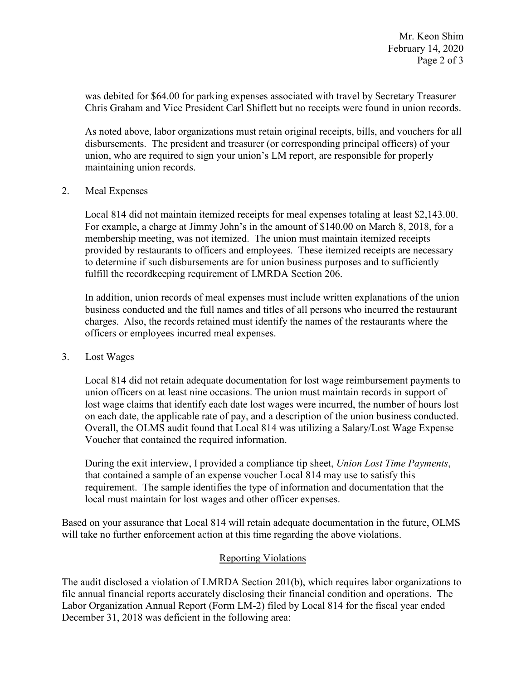was debited for \$64.00 for parking expenses associated with travel by Secretary Treasurer Chris Graham and Vice President Carl Shiflett but no receipts were found in union records.

As noted above, labor organizations must retain original receipts, bills, and vouchers for all disbursements. The president and treasurer (or corresponding principal officers) of your union, who are required to sign your union's LM report, are responsible for properly maintaining union records.

## 2. Meal Expenses

 fulfill the recordkeeping requirement of LMRDA Section 206. Local 814 did not maintain itemized receipts for meal expenses totaling at least [\\$2,143.00](https://2,143.00). For example, a charge at Jimmy John's in the amount of \$140.00 on March 8, 2018, for a membership meeting, was not itemized. The union must maintain itemized receipts provided by restaurants to officers and employees. These itemized receipts are necessary to determine if such disbursements are for union business purposes and to sufficiently

 charges. Also, the records retained must identify the names of the restaurants where the In addition, union records of meal expenses must include written explanations of the union business conducted and the full names and titles of all persons who incurred the restaurant officers or employees incurred meal expenses.

### 3. Lost Wages

Local 814 did not retain adequate documentation for lost wage reimbursement payments to union officers on at least nine occasions. The union must maintain records in support of lost wage claims that identify each date lost wages were incurred, the number of hours lost on each date, the applicable rate of pay, and a description of the union business conducted. Overall, the OLMS audit found that Local 814 was utilizing a Salary/Lost Wage Expense Voucher that contained the required information.

 that contained a sample of an expense voucher Local 814 may use to satisfy this During the exit interview, I provided a compliance tip sheet, *Union Lost Time Payments*, requirement. The sample identifies the type of information and documentation that the local must maintain for lost wages and other officer expenses.

 Based on your assurance that Local 814 will retain adequate documentation in the future, OLMS will take no further enforcement action at this time regarding the above violations.

# Reporting Violations

 Labor Organization Annual Report (Form LM-2) filed by Local 814 for the fiscal year ended December 31, 2018 was deficient in the following area: The audit disclosed a violation of LMRDA Section 201(b), which requires labor organizations to file annual financial reports accurately disclosing their financial condition and operations. The